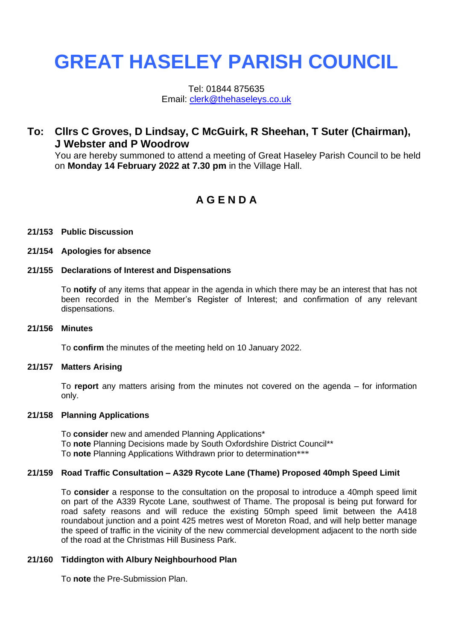# **GREAT HASELEY PARISH COUNCIL**

Tel: 01844 875635 Email: [clerk@thehaseleys.co.uk](mailto:clerk@thehaseleys.co.uk)

## **To: Cllrs C Groves, D Lindsay, C McGuirk, R Sheehan, T Suter (Chairman), J Webster and P Woodrow**

You are hereby summoned to attend a meeting of Great Haseley Parish Council to be held on **Monday 14 February 2022 at 7.30 pm** in the Village Hall.

# **A G E N D A**

#### **21/153 Public Discussion**

#### **21/154 Apologies for absence**

## **21/155 Declarations of Interest and Dispensations**

To **notify** of any items that appear in the agenda in which there may be an interest that has not been recorded in the Member's Register of Interest; and confirmation of any relevant dispensations.

#### **21/156 Minutes**

To **confirm** the minutes of the meeting held on 10 January 2022.

#### **21/157 Matters Arising**

To **report** any matters arising from the minutes not covered on the agenda – for information only.

#### **21/158 Planning Applications**

To **consider** new and amended Planning Applications\* To **note** Planning Decisions made by South Oxfordshire District Council\*\* To **note** Planning Applications Withdrawn prior to determination\*\*\*

#### **21/159 Road Traffic Consultation – A329 Rycote Lane (Thame) Proposed 40mph Speed Limit**

To **consider** a response to the consultation on the proposal to introduce a 40mph speed limit on part of the A339 Rycote Lane, southwest of Thame. The proposal is being put forward for road safety reasons and will reduce the existing 50mph speed limit between the A418 roundabout junction and a point 425 metres west of Moreton Road, and will help better manage the speed of traffic in the vicinity of the new commercial development adjacent to the north side of the road at the Christmas Hill Business Park.

#### **21/160 Tiddington with Albury Neighbourhood Plan**

To **note** the Pre-Submission Plan.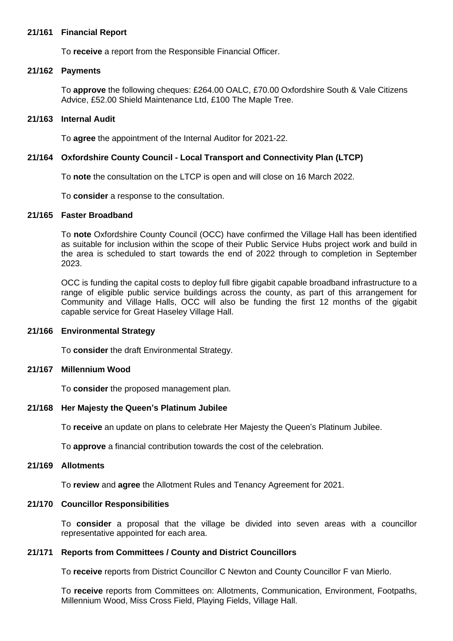#### **21/161 Financial Report**

To **receive** a report from the Responsible Financial Officer.

#### **21/162 Payments**

To **approve** the following cheques: £264.00 OALC, £70.00 Oxfordshire South & Vale Citizens Advice, £52.00 Shield Maintenance Ltd, £100 The Maple Tree.

#### **21/163 Internal Audit**

To **agree** the appointment of the Internal Auditor for 2021-22.

#### **21/164 Oxfordshire County Council - Local Transport and Connectivity Plan (LTCP)**

To **note** the consultation on the LTCP is open and will close on 16 March 2022.

To **consider** a response to the consultation.

## **21/165 Faster Broadband**

To **note** Oxfordshire County Council (OCC) have confirmed the Village Hall has been identified as suitable for inclusion within the scope of their Public Service Hubs project work and build in the area is scheduled to start towards the end of 2022 through to completion in September 2023.

OCC is funding the capital costs to deploy full fibre gigabit capable broadband infrastructure to a range of eligible public service buildings across the county, as part of this arrangement for Community and Village Halls, OCC will also be funding the first 12 months of the gigabit capable service for Great Haseley Village Hall.

#### **21/166 Environmental Strategy**

To **consider** the draft Environmental Strategy.

#### **21/167 Millennium Wood**

To **consider** the proposed management plan.

#### **21/168 Her Majesty the Queen's Platinum Jubilee**

To **receive** an update on plans to celebrate Her Majesty the Queen's Platinum Jubilee.

To **approve** a financial contribution towards the cost of the celebration.

## **21/169 Allotments**

To **review** and **agree** the Allotment Rules and Tenancy Agreement for 2021.

#### **21/170 Councillor Responsibilities**

To **consider** a proposal that the village be divided into seven areas with a councillor representative appointed for each area.

#### **21/171 Reports from Committees / County and District Councillors**

To **receive** reports from District Councillor C Newton and County Councillor F van Mierlo.

To **receive** reports from Committees on: Allotments, Communication, Environment, Footpaths, Millennium Wood, Miss Cross Field, Playing Fields, Village Hall.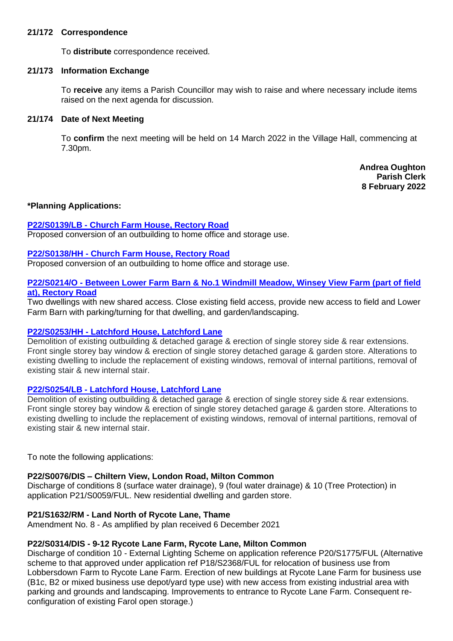## **21/172 Correspondence**

To **distribute** correspondence received.

## **21/173 Information Exchange**

To **receive** any items a Parish Councillor may wish to raise and where necessary include items raised on the next agenda for discussion.

## **21/174 Date of Next Meeting**

To **confirm** the next meeting will be held on 14 March 2022 in the Village Hall, commencing at 7.30pm.

> **Andrea Oughton Parish Clerk 8 February 2022**

## **\*Planning Applications:**

## **P22/S0139/LB - [Church Farm House,](https://data.southoxon.gov.uk/ccm/support/Main.jsp?MODULE=ApplicationDetails&REF=P22/S0139/LB) Rectory Road**

Proposed conversion of an outbuilding to home office and storage use.

## **P22/S0138/HH - [Church Farm House,](https://data.southoxon.gov.uk/ccm/support/Main.jsp?MODULE=ApplicationDetails&REF=P22/S0138/HH) Rectory Road**

Proposed conversion of an outbuilding to home office and storage use.

## **P22/S0214/O - [Between Lower Farm Barn & No.1 Windmill Meadow,](https://data.southoxon.gov.uk/ccm/support/Main.jsp?MODULE=ApplicationDetails&REF=P22/S0214/O) Winsey View Farm (part of field at), [Rectory Road](https://data.southoxon.gov.uk/ccm/support/Main.jsp?MODULE=ApplicationDetails&REF=P22/S0214/O)**

Two dwellings with new shared access. Close existing field access, provide new access to field and Lower Farm Barn with parking/turning for that dwelling, and garden/landscaping.

## **P22/S0253/HH - [Latchford House,](https://data.southoxon.gov.uk/ccm/support/Main.jsp?MODULE=ApplicationDetails&REF=P22/S0253/HH) Latchford Lane**

Demolition of existing outbuilding & detached garage & erection of single storey side & rear extensions. Front single storey bay window & erection of single storey detached garage & garden store. Alterations to existing dwelling to include the replacement of existing windows, removal of internal partitions, removal of existing stair & new internal stair.

## **P22/S0254/LB - [Latchford House, Latchford Lane](https://data.southoxon.gov.uk/ccm/support/Main.jsp?MODULE=ApplicationDetails&REF=P22/S0254/LB)**

Demolition of existing outbuilding & detached garage & erection of single storey side & rear extensions. Front single storey bay window & erection of single storey detached garage & garden store. Alterations to existing dwelling to include the replacement of existing windows, removal of internal partitions, removal of existing stair & new internal stair.

To note the following applications:

## **P22/S0076/DIS – Chiltern View, London Road, Milton Common**

Discharge of conditions 8 (surface water drainage), 9 (foul water drainage) & 10 (Tree Protection) in application P21/S0059/FUL. New residential dwelling and garden store.

## **P21/S1632/RM - Land North of Rycote Lane, Thame**

Amendment No. 8 - As amplified by plan received 6 December 2021

## **P22/S0314/DIS - 9-12 Rycote Lane Farm, Rycote Lane, Milton Common**

Discharge of condition 10 - External Lighting Scheme on application reference P20/S1775/FUL (Alternative scheme to that approved under application ref P18/S2368/FUL for relocation of business use from Lobbersdown Farm to Rycote Lane Farm. Erection of new buildings at Rycote Lane Farm for business use (B1c, B2 or mixed business use depot/yard type use) with new access from existing industrial area with parking and grounds and landscaping. Improvements to entrance to Rycote Lane Farm. Consequent reconfiguration of existing Farol open storage.)